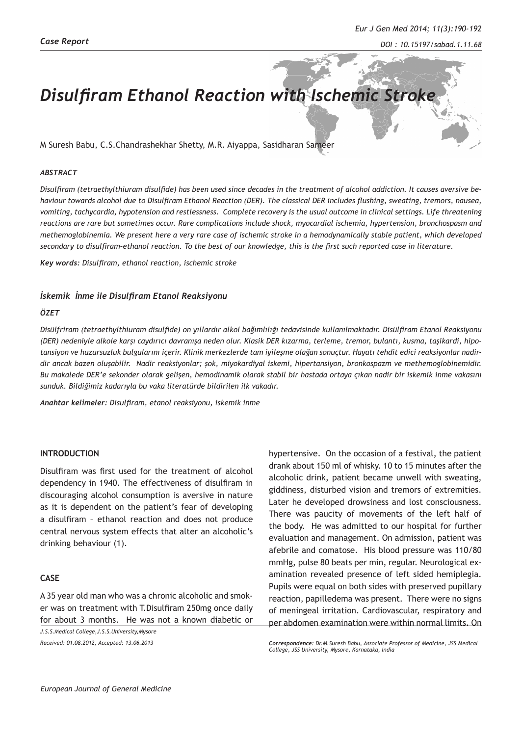# *Disulfiram Ethanol Reaction with Ischemic Stroke*

M Suresh Babu, C.S.Chandrashekhar Shetty, M.R. Aiyappa, Sasidharan Sameer

## *ABSTRACT*

*Disulfiram (tetraethylthiuram disulfide) has been used since decades in the treatment of alcohol addiction. It causes aversive behaviour towards alcohol due to Disulfiram Ethanol Reaction (DER). The classical DER includes flushing, sweating, tremors, nausea, vomiting, tachycardia, hypotension and restlessness. Complete recovery is the usual outcome in clinical settings. Life threatening reactions are rare but sometimes occur. Rare complications include shock, myocardial ischemia, hypertension, bronchospasm and methemoglobinemia. We present here a very rare case of ischemic stroke in a hemodynamically stable patient, which developed secondary to disulfiram–ethanol reaction. To the best of our knowledge, this is the first such reported case in literature.* 

*Key words: Disulfiram, ethanol reaction, ischemic stroke*

## *İskemik İnme ile Disulfiram Etanol Reaksiyonu*

#### *ÖZET*

*Disülfriram (tetraethylthiuram disulfide) on yıllardır alkol bağımlılığı tedavisinde kullanılmaktadır. Disülfiram Etanol Reaksiyonu (DER) nedeniyle alkole karşı caydırıcı davranışa neden olur. Klasik DER kızarma, terleme, tremor, bulantı, kusma, taşikardi, hipotansiyon ve huzursuzluk bulgularını içerir. Klinik merkezlerde tam iyileşme olağan sonuçtur. Hayatı tehdit edici reaksiyonlar nadirdir ancak bazen oluşabilir. Nadir reaksiyonlar; şok, miyokardiyal iskemi, hipertansiyon, bronkospazm ve methemoglobinemidir. Bu makalede DER'e sekonder olarak gelişen, hemodinamik olarak stabil bir hastada ortaya çıkan nadir bir iskemik inme vakasını sunduk. Bildiğimiz kadarıyla bu vaka literatürde bildirilen ilk vakadır.*

*Anahtar kelimeler: Disulfiram, etanol reaksiyonu, iskemik inme*

#### **INTRODUCTION**

Disulfiram was first used for the treatment of alcohol dependency in 1940. The effectiveness of disulfiram in discouraging alcohol consumption is aversive in nature as it is dependent on the patient's fear of developing a disulfiram – ethanol reaction and does not produce central nervous system effects that alter an alcoholic's drinking behaviour (1).

# **CASE**

A 35 year old man who was a chronic alcoholic and smoker was on treatment with T.Disulfiram 250mg once daily for about 3 months. He was not a known diabetic or

*J.S.S.Medical College,J.S.S.University,Mysore*

hypertensive. On the occasion of a festival, the patient drank about 150 ml of whisky. 10 to 15 minutes after the alcoholic drink, patient became unwell with sweating, giddiness, disturbed vision and tremors of extremities. Later he developed drowsiness and lost consciousness. There was paucity of movements of the left half of the body. He was admitted to our hospital for further evaluation and management. On admission, patient was afebrile and comatose. His blood pressure was 110/80 mmHg, pulse 80 beats per min, regular. Neurological examination revealed presence of left sided hemiplegia. Pupils were equal on both sides with preserved pupillary reaction, papilledema was present. There were no signs of meningeal irritation. Cardiovascular, respiratory and per abdomen examination were within normal limits. On

*Received: 01.08.2012, Accepted: 13.06.2013 Correspondence: Dr.M.Suresh Babu, Associate Professor of Medicine, JSS Medical College, JSS University, Mysore, Karnataka, India*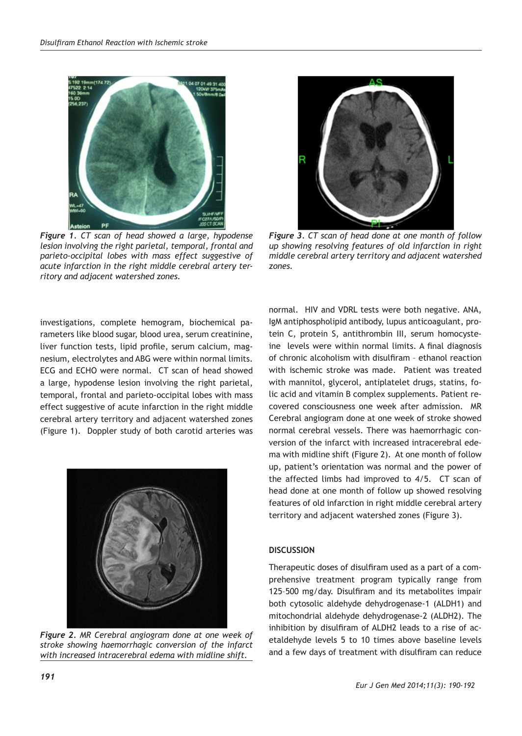

*Figure 1. CT scan of head showed a large, hypodense lesion involving the right parietal, temporal, frontal and parieto-occipital lobes with mass effect suggestive of acute infarction in the right middle cerebral artery territory and adjacent watershed zones.*

investigations, complete hemogram, biochemical parameters like blood sugar, blood urea, serum creatinine, liver function tests, lipid profile, serum calcium, magnesium, electrolytes and ABG were within normal limits. ECG and ECHO were normal. CT scan of head showed a large, hypodense lesion involving the right parietal, temporal, frontal and parieto-occipital lobes with mass effect suggestive of acute infarction in the right middle cerebral artery territory and adjacent watershed zones (Figure 1). Doppler study of both carotid arteries was



*Figure 2. MR Cerebral angiogram done at one week of stroke showing haemorrhagic conversion of the infarct with increased intracerebral edema with midline shift.* 



*Figure 3. CT scan of head done at one month of follow up showing resolving features of old infarction in right middle cerebral artery territory and adjacent watershed zones.*

normal. HIV and VDRL tests were both negative. ANA, IgM antiphospholipid antibody, lupus anticoagulant, protein C, protein S, antithrombin III, serum homocysteine levels were within normal limits. A final diagnosis of chronic alcoholism with disulfiram – ethanol reaction with ischemic stroke was made. Patient was treated with mannitol, glycerol, antiplatelet drugs, statins, folic acid and vitamin B complex supplements. Patient recovered consciousness one week after admission. MR Cerebral angiogram done at one week of stroke showed normal cerebral vessels. There was haemorrhagic conversion of the infarct with increased intracerebral edema with midline shift (Figure 2). At one month of follow up, patient's orientation was normal and the power of the affected limbs had improved to 4/5. CT scan of head done at one month of follow up showed resolving features of old infarction in right middle cerebral artery territory and adjacent watershed zones (Figure 3).

# **DISCUSSION**

Therapeutic doses of disulfiram used as a part of a comprehensive treatment program typically range from 125–500 mg/day. Disulfiram and its metabolites impair both cytosolic aldehyde dehydrogenase-1 (ALDH1) and mitochondrial aldehyde dehydrogenase-2 (ALDH2). The inhibition by disulfiram of ALDH2 leads to a rise of acetaldehyde levels 5 to 10 times above baseline levels and a few days of treatment with disulfiram can reduce